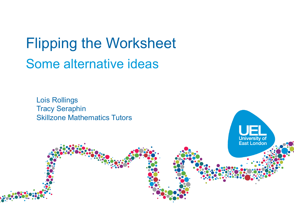Flipping the Worksheet Some alternative ideas

**University of**<br>**East London** 

Lois Rollings Tracy Seraphin Skillzone Mathematics Tutors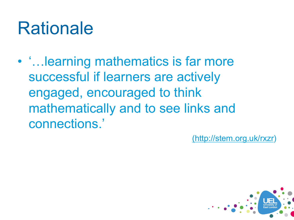#### Rationale

• '…learning mathematics is far more successful if learners are actively engaged, encouraged to think mathematically and to see links and connections.'

(http://stem.org.uk/rxzr)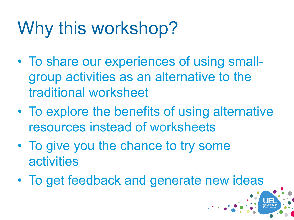## Why this workshop?

- To share our experiences of using smallgroup activities as an alternative to the traditional worksheet
- To explore the benefits of using alternative resources instead of worksheets
- To give you the chance to try some activities
- To get feedback and generate new ideas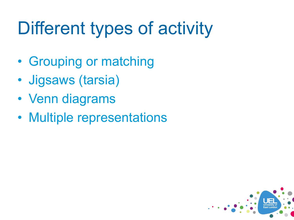# Different types of activity

- Grouping or matching
- Jigsaws (tarsia)
- Venn diagrams
- Multiple representations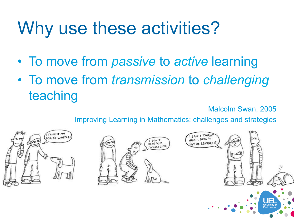## Why use these activities?

- To move from *passive* to *active* learning
- To move from *transmission* to *challenging* teaching

Malcolm Swan, 2005

Improving Learning in Mathematics: challenges and strategies

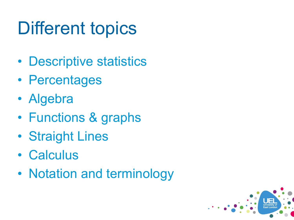## Different topics

- Descriptive statistics
- Percentages
- Algebra
- Functions & graphs
- Straight Lines
- Calculus
- Notation and terminology

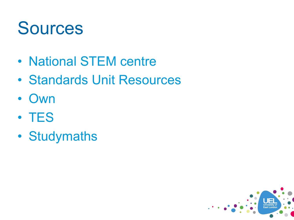#### **Sources**

- National STEM centre
- Standards Unit Resources
- Own
- TES
- Studymaths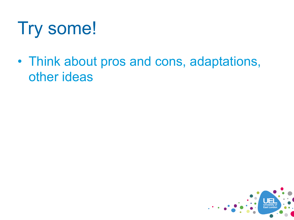### Try some!

• Think about pros and cons, adaptations, other ideas

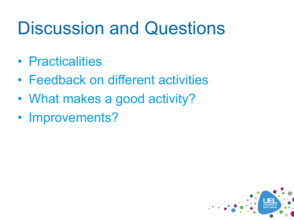#### Discussion and Questions

- Practicalities
- Feedback on different activities
- What makes a good activity?
- Improvements?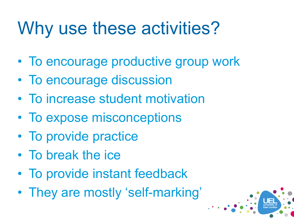## Why use these activities?

- To encourage productive group work
- To encourage discussion
- To increase student motivation
- To expose misconceptions
- To provide practice
- To break the ice
- To provide instant feedback
- They are mostly 'self-marking'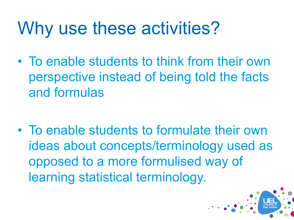### Why use these activities?

• To enable students to think from their own perspective instead of being told the facts and formulas

• To enable students to formulate their own ideas about concepts/terminology used as opposed to a more formulised way of learning statistical terminology.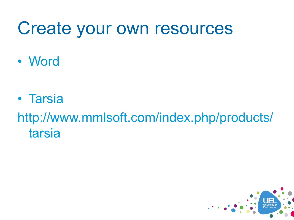#### Create your own resources

• Word

• Tarsia

http://www.mmlsoft.com/index.php/products/ tarsia